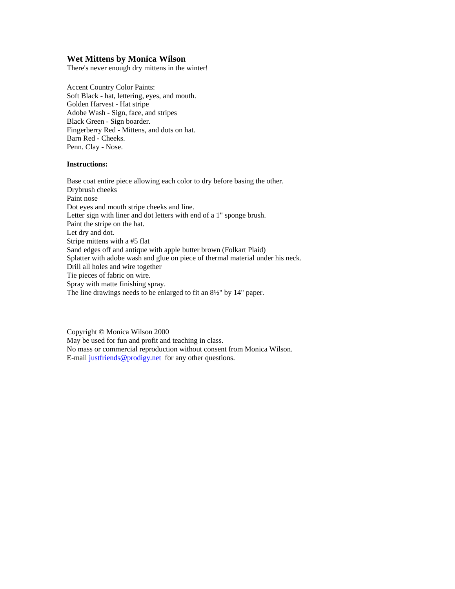## **Wet Mittens by Monica Wilson**

There's never enough dry mittens in the winter!

Accent Country Color Paints: Soft Black - hat, lettering, eyes, and mouth. Golden Harvest - Hat stripe Adobe Wash - Sign, face, and stripes Black Green - Sign boarder. Fingerberry Red - Mittens, and dots on hat. Barn Red - Cheeks. Penn. Clay - Nose.

## **Instructions:**

Base coat entire piece allowing each color to dry before basing the other. Drybrush cheeks Paint nose Dot eyes and mouth stripe cheeks and line. Letter sign with liner and dot letters with end of a 1" sponge brush. Paint the stripe on the hat. Let dry and dot. Stripe mittens with a #5 flat Sand edges off and antique with apple butter brown (Folkart Plaid) Splatter with adobe wash and glue on piece of thermal material under his neck. Drill all holes and wire together Tie pieces of fabric on wire. Spray with matte finishing spray. The line drawings needs to be enlarged to fit an 8½" by 14" paper.

Copyright © Monica Wilson 2000 May be used for fun and profit and teaching in class. No mass or commercial reproduction without consent from Monica Wilson. E-mail [justfriends@prodigy.net](mailto:justfriends@prodigy.net) for any other questions.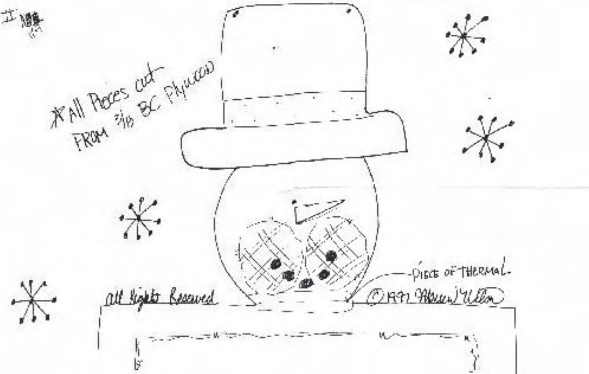工赚 KAII Proces cut stylees) -PIECE OF THERMAL. all lights Reserved ORn Mun Willow ド